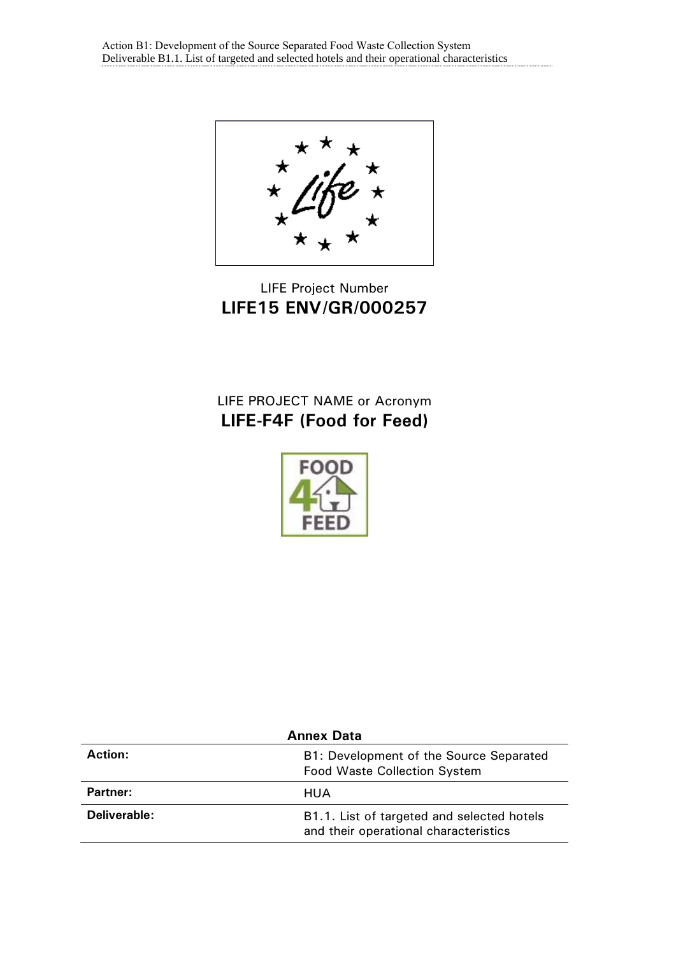Action Β1: Development of the Source Separated Food Waste Collection System Deliverable B1.1. List of targeted and selected hotels and their operational characteristics

## LIFE Project Number **LIFE15 ENV/GR/000257**

LIFE PROJECT NAME or Acronym **LIFE-F4F (Food for Feed)**



| <b>Annex Data</b> |                                                                                     |  |
|-------------------|-------------------------------------------------------------------------------------|--|
| Action:           | B1: Development of the Source Separated<br><b>Food Waste Collection System</b>      |  |
| Partner:          | HUA                                                                                 |  |
| Deliverable:      | B1.1. List of targeted and selected hotels<br>and their operational characteristics |  |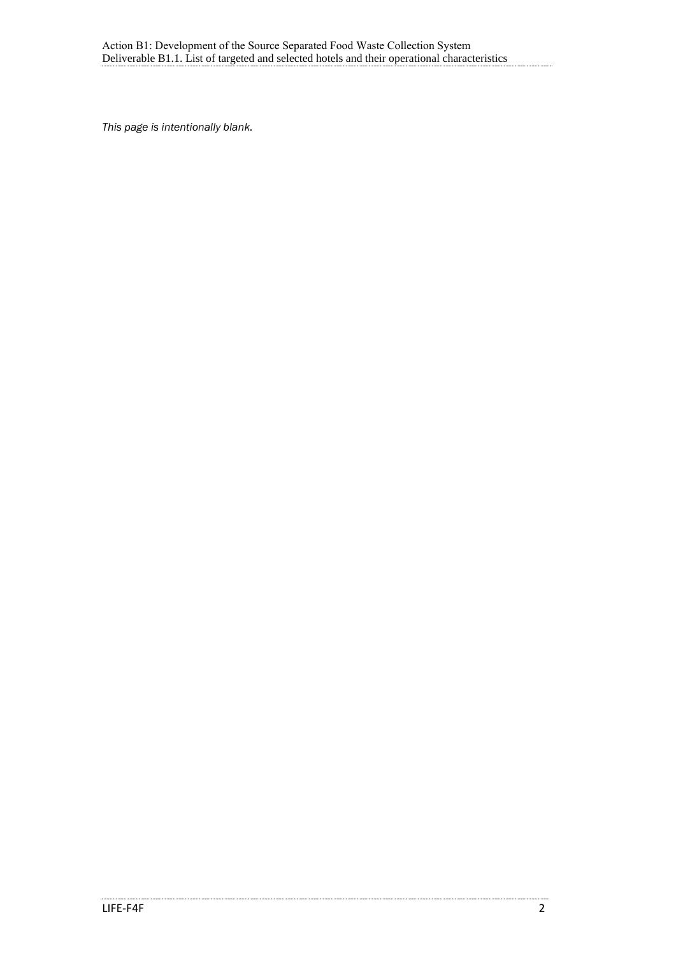*This page is intentionally blank.*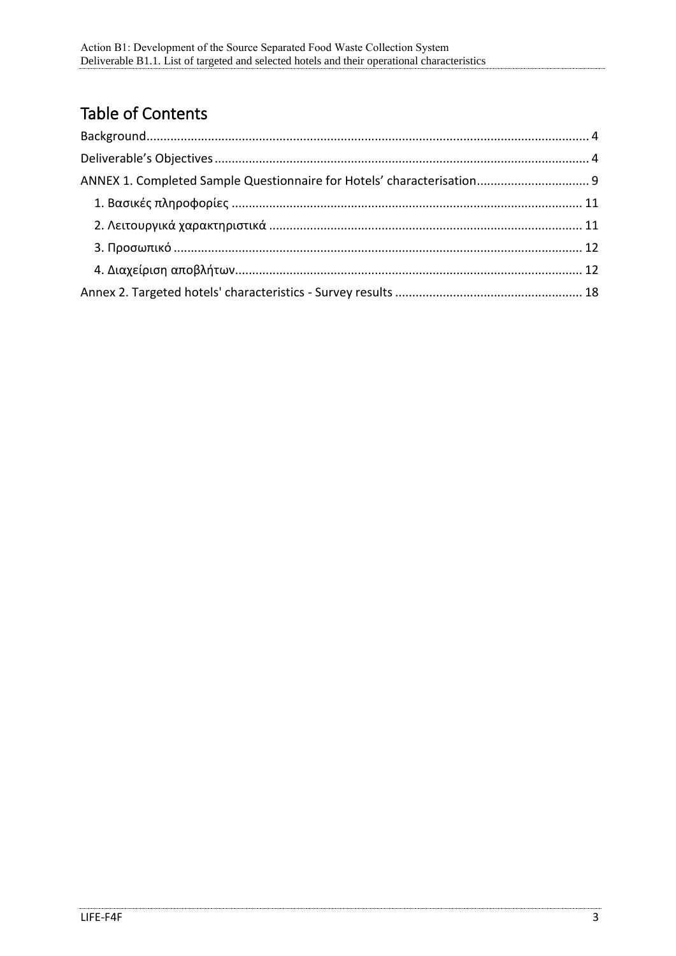# Table of Contents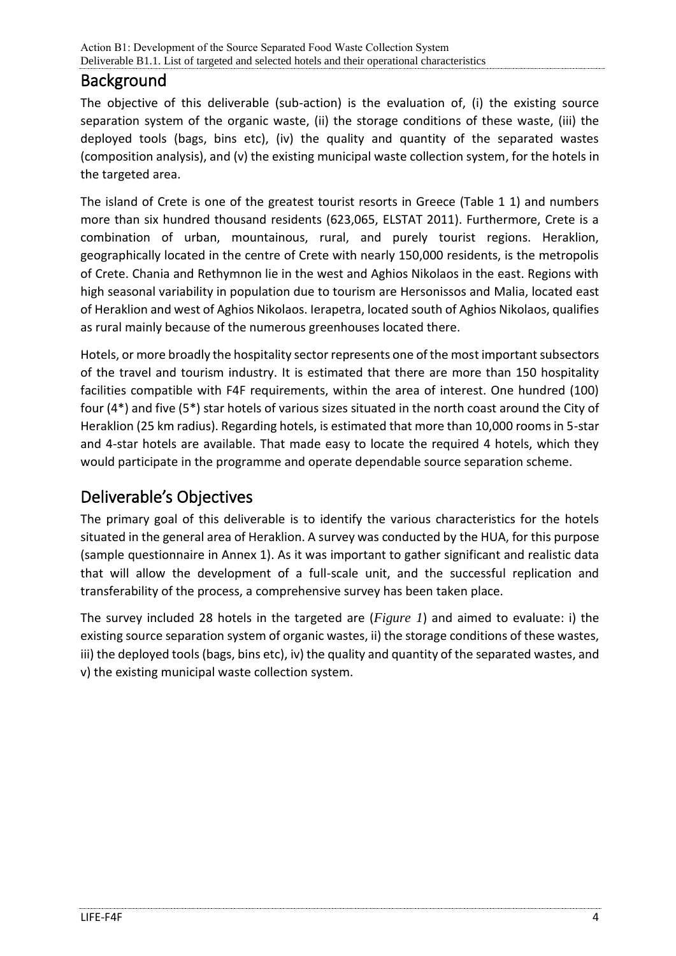## <span id="page-3-0"></span>Background

The objective of this deliverable (sub-action) is the evaluation of, (i) the existing source separation system of the organic waste, (ii) the storage conditions of these waste, (iii) the deployed tools (bags, bins etc), (iv) the quality and quantity of the separated wastes (composition analysis), and (v) the existing municipal waste collection system, for the hotels in the targeted area.

The island of Crete is one of the greatest tourist resorts in Greece (Table 1 1) and numbers more than six hundred thousand residents (623,065, ELSTAT 2011). Furthermore, Crete is a combination of urban, mountainous, rural, and purely tourist regions. Heraklion, geographically located in the centre of Crete with nearly 150,000 residents, is the metropolis of Crete. Chania and Rethymnon lie in the west and Aghios Nikolaos in the east. Regions with high seasonal variability in population due to tourism are Hersonissos and Malia, located east of Heraklion and west of Aghios Nikolaos. Ierapetra, located south of Aghios Nikolaos, qualifies as rural mainly because of the numerous greenhouses located there.

Hotels, or more broadly the hospitality sector represents one of the most important subsectors of the travel and tourism industry. It is estimated that there are more than 150 hospitality facilities compatible with F4F requirements, within the area of interest. One hundred (100) four (4\*) and five (5\*) star hotels of various sizes situated in the north coast around the City of Heraklion (25 km radius). Regarding hotels, is estimated that more than 10,000 rooms in 5-star and 4-star hotels are available. That made easy to locate the required 4 hotels, which they would participate in the programme and operate dependable source separation scheme.

## <span id="page-3-1"></span>Deliverable's Objectives

The primary goal of this deliverable is to identify the various characteristics for the hotels situated in the general area of Heraklion. A survey was conducted by the HUA, for this purpose (sample questionnaire in Annex 1). As it was important to gather significant and realistic data that will allow the development of a full-scale unit, and the successful replication and transferability of the process, a comprehensive survey has been taken place.

The survey included 28 hotels in the targeted are (*[Figure 1](#page-4-0)*) and aimed to evaluate: i) the existing source separation system of organic wastes, ii) the storage conditions of these wastes, iii) the deployed tools (bags, bins etc), iv) the quality and quantity of the separated wastes, and v) the existing municipal waste collection system.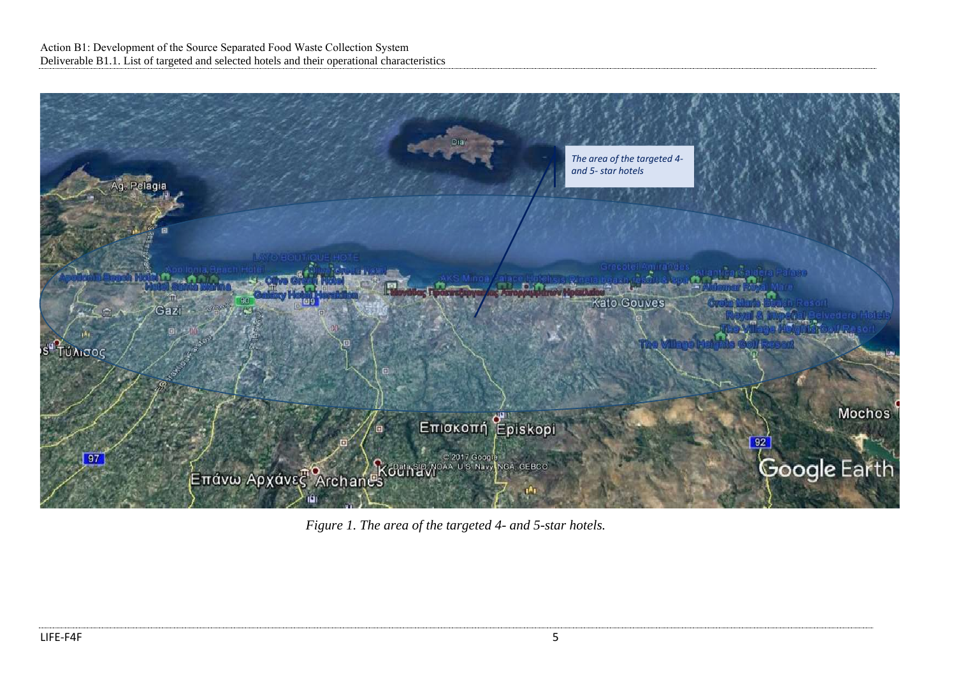<span id="page-4-0"></span>

*Figure 1. The area of the targeted 4- and 5-star hotels.*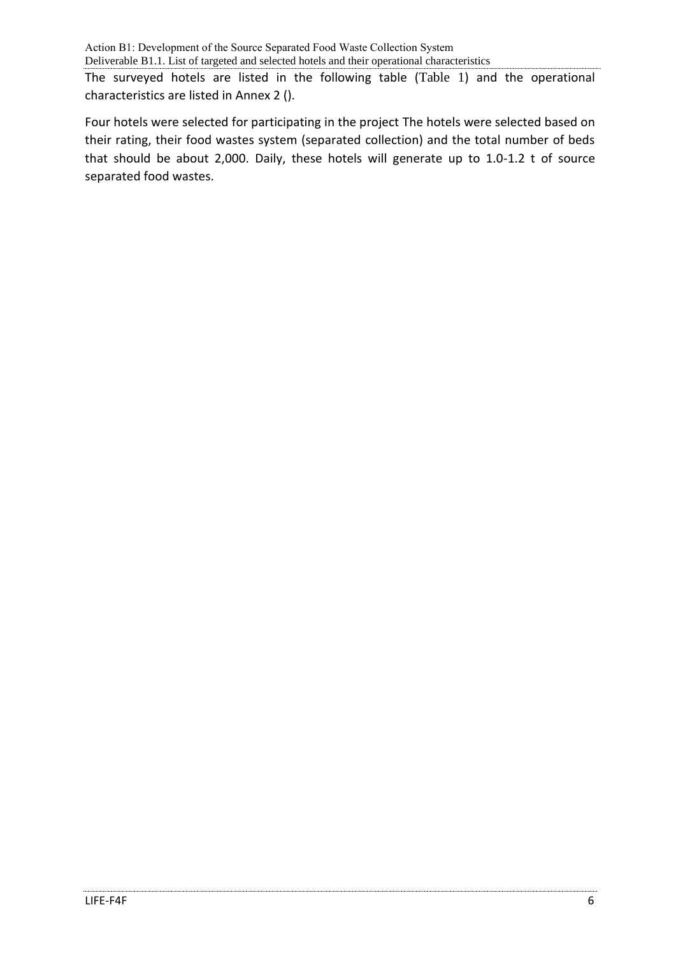Deliverable B1.1. List of targeted and selected hotels and their operational characteristics

The surveyed hotels are listed in the following table ([Table 1](#page-6-0)) and the operational characteristics are listed in Annex 2 ().

Four hotels were selected for participating in the project The hotels were selected based on their rating, their food wastes system (separated collection) and the total number of beds that should be about 2,000. Daily, these hotels will generate up to 1.0-1.2 t of source separated food wastes.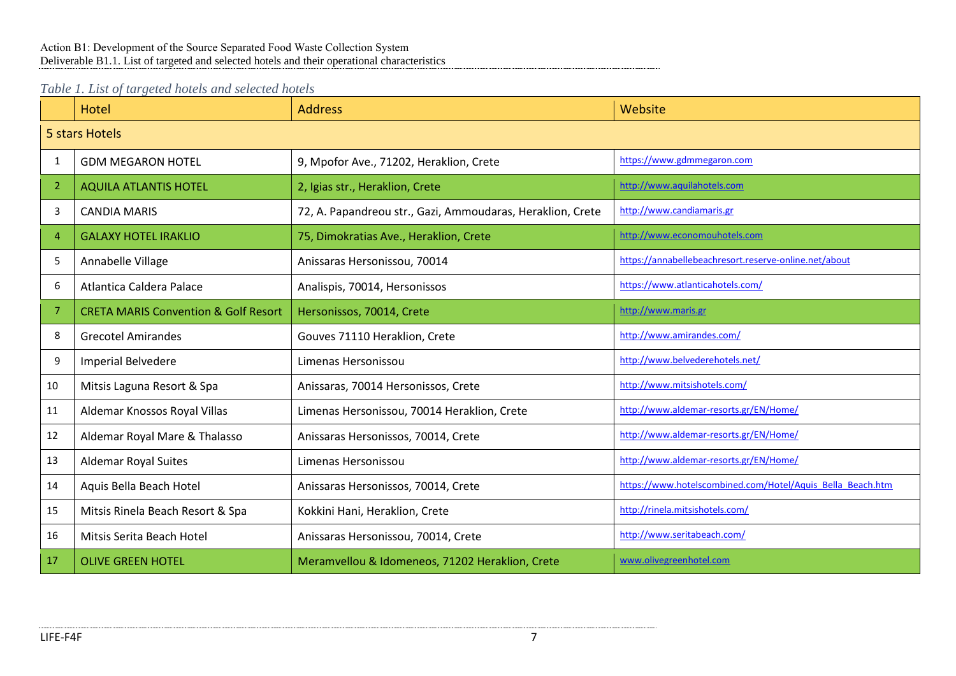#### *Table 1. List of targeted hotels and selected hotels*

<span id="page-6-0"></span>

|                | Hotel                                           | <b>Address</b>                                             | Website                                                    |  |
|----------------|-------------------------------------------------|------------------------------------------------------------|------------------------------------------------------------|--|
|                | 5 stars Hotels                                  |                                                            |                                                            |  |
| $\mathbf{1}$   | <b>GDM MEGARON HOTEL</b>                        | 9, Mpofor Ave., 71202, Heraklion, Crete                    | https://www.gdmmegaron.com                                 |  |
| $\overline{2}$ | <b>AQUILA ATLANTIS HOTEL</b>                    | 2, Igias str., Heraklion, Crete                            | http://www.aquilahotels.com                                |  |
| 3              | <b>CANDIA MARIS</b>                             | 72, A. Papandreou str., Gazi, Ammoudaras, Heraklion, Crete | http://www.candiamaris.gr                                  |  |
| $\overline{4}$ | <b>GALAXY HOTEL IRAKLIO</b>                     | 75, Dimokratias Ave., Heraklion, Crete                     | http://www.economouhotels.com                              |  |
| 5              | Annabelle Village                               | Anissaras Hersonissou, 70014                               | https://annabellebeachresort.reserve-online.net/about      |  |
| 6              | Atlantica Caldera Palace                        | Analispis, 70014, Hersonissos                              | https://www.atlanticahotels.com/                           |  |
| 7              | <b>CRETA MARIS Convention &amp; Golf Resort</b> | Hersonissos, 70014, Crete                                  | http://www.maris.gr                                        |  |
| 8              | <b>Grecotel Amirandes</b>                       | Gouves 71110 Heraklion, Crete                              | http://www.amirandes.com/                                  |  |
| 9              | <b>Imperial Belvedere</b>                       | Limenas Hersonissou                                        | http://www.belvederehotels.net/                            |  |
| $10\,$         | Mitsis Laguna Resort & Spa                      | Anissaras, 70014 Hersonissos, Crete                        | http://www.mitsishotels.com/                               |  |
| 11             | Aldemar Knossos Royal Villas                    | Limenas Hersonissou, 70014 Heraklion, Crete                | http://www.aldemar-resorts.gr/EN/Home/                     |  |
| 12             | Aldemar Royal Mare & Thalasso                   | Anissaras Hersonissos, 70014, Crete                        | http://www.aldemar-resorts.gr/EN/Home/                     |  |
| 13             | <b>Aldemar Royal Suites</b>                     | Limenas Hersonissou                                        | http://www.aldemar-resorts.gr/EN/Home/                     |  |
| 14             | Aquis Bella Beach Hotel                         | Anissaras Hersonissos, 70014, Crete                        | https://www.hotelscombined.com/Hotel/Aquis Bella Beach.htm |  |
| 15             | Mitsis Rinela Beach Resort & Spa                | Kokkini Hani, Heraklion, Crete                             | http://rinela.mitsishotels.com/                            |  |
| 16             | Mitsis Serita Beach Hotel                       | Anissaras Hersonissou, 70014, Crete                        | http://www.seritabeach.com/                                |  |
| 17             | <b>OLIVE GREEN HOTEL</b>                        | Meramvellou & Idomeneos, 71202 Heraklion, Crete            | www.olivegreenhotel.com                                    |  |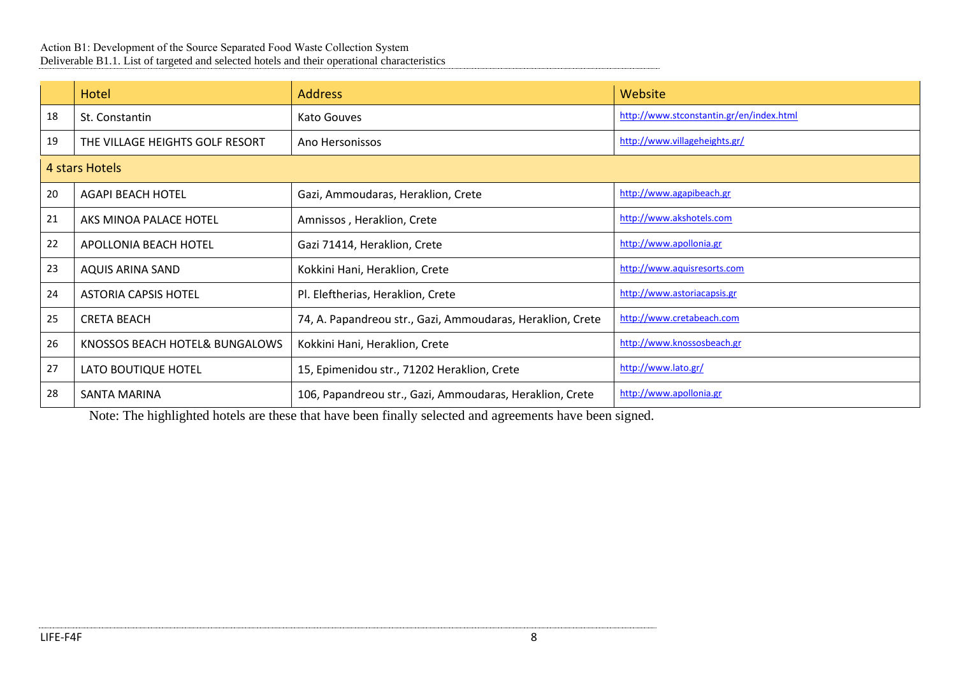|    | Hotel                           | <b>Address</b>                                             | Website                                  |
|----|---------------------------------|------------------------------------------------------------|------------------------------------------|
| 18 | St. Constantin                  | Kato Gouves                                                | http://www.stconstantin.gr/en/index.html |
| 19 | THE VILLAGE HEIGHTS GOLF RESORT | Ano Hersonissos                                            | http://www.villageheights.gr/            |
|    | 4 stars Hotels                  |                                                            |                                          |
| 20 | <b>AGAPI BEACH HOTEL</b>        | Gazi, Ammoudaras, Heraklion, Crete                         | http://www.agapibeach.gr                 |
| 21 | AKS MINOA PALACE HOTEL          | Amnissos, Heraklion, Crete                                 | http://www.akshotels.com                 |
| 22 | APOLLONIA BEACH HOTEL           | Gazi 71414, Heraklion, Crete                               | http://www.apollonia.gr                  |
| 23 | AQUIS ARINA SAND                | Kokkini Hani, Heraklion, Crete                             | http://www.aquisresorts.com              |
| 24 | <b>ASTORIA CAPSIS HOTEL</b>     | Pl. Eleftherias, Heraklion, Crete                          | http://www.astoriacapsis.gr              |
| 25 | <b>CRETA BEACH</b>              | 74, A. Papandreou str., Gazi, Ammoudaras, Heraklion, Crete | http://www.cretabeach.com                |
| 26 | KNOSSOS BEACH HOTEL& BUNGALOWS  | Kokkini Hani, Heraklion, Crete                             | http://www.knossosbeach.gr               |
| 27 | LATO BOUTIQUE HOTEL             | 15, Epimenidou str., 71202 Heraklion, Crete                | http://www.lato.gr/                      |
| 28 | SANTA MARINA                    | 106, Papandreou str., Gazi, Ammoudaras, Heraklion, Crete   | http://www.apollonia.gr                  |

Note: The highlighted hotels are these that have been finally selected and agreements have been signed.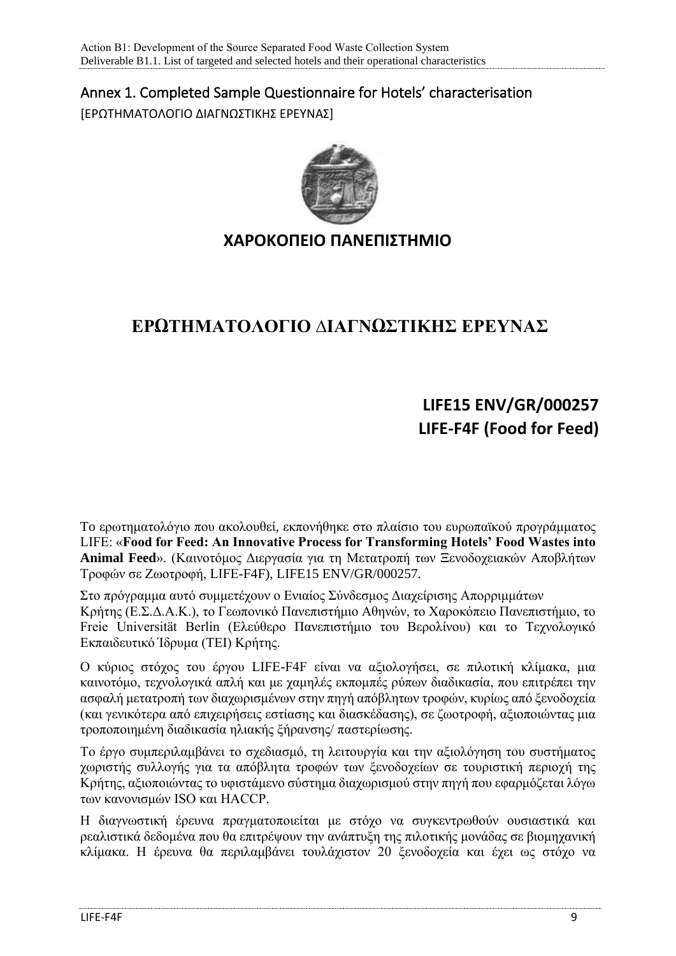## <span id="page-8-0"></span>Annex 1. Completed Sample Questionnaire for Hotels' characterisation

[ΕΡΩΤΗΜΑΤΟΛΟΓΙΟ ∆ΙΑΓΝΩΣΤΙΚΗΣ ΕΡΕΥΝΑΣ]



## **ΧΑΡΟΚΟΠΕΙΟ ΠΑΝΕΠΙΣΤΗΜΙΟ**

## **ΕΡΩΤΗΜΑΤΟΛΟΓΙΟ ∆ΙΑΓΝΩΣΤΙΚΗΣ ΕΡΕΥΝΑΣ**

# **LIFE15 ENV/GR/000257 LIFE-F4F (Food for Feed)**

To ερωτηματολόγιο που ακολουθεί, εκπονήθηκε στο πλαίσιο του ευρωπαϊκού προγράμματος LIFE: «**Food for Feed: An Innovative Process for Transforming Hotels' Food Wastes into Animal Feed**». (Καινοτόμος Διεργασία για τη Μετατροπή των Ξενοδοχειακών Αποβλήτων Τροφών σε Ζωοτροφή, LIFE-F4F), LIFE15 ENV/GR/000257.

Στο πρόγραμμα αυτό συμμετέχουν ο Ενιαίος Σύνδεσμος Διαχείρισης Απορριμμάτων Κρήτης (Ε.Σ.Δ.Α.Κ.), το Γεωπονικό Πανεπιστήμιο Αθηνών, το Χαροκόπειο Πανεπιστήμιο, το Freie Universität Berlin (Ελεύθερο Πανεπιστήμιο του Βερολίνου) και το Τεχνολογικό Εκπαιδευτικό Ίδρυμα (ΤΕΙ) Κρήτης.

Ο κύριος στόχος του έργου LIFE-F4F είναι να αξιολογήσει, σε πιλοτική κλίμακα, μια καινοτόμο, τεχνολογικά απλή και με χαμηλές εκπομπές ρύπων διαδικασία, που επιτρέπει την ασφαλή μετατροπή των διαχωρισμένων στην πηγή απόβλητων τροφών, κυρίως από ξενοδοχεία (και γενικότερα από επιχειρήσεις εστίασης και διασκέδασης), σε ζωοτροφή, αξιοποιώντας μια τροποποιημένη διαδικασία ηλιακής ξήρανσης/ παστερίωσης.

Το έργο συμπεριλαμβάνει το σχεδιασμό, τη λειτουργία και την αξιολόγηση του συστήματος χωριστής συλλογής για τα απόβλητα τροφών των ξενοδοχείων σε τουριστική περιοχή της Κρήτης, αξιοποιώντας το υφιστάμενο σύστημα διαχωρισμού στην πηγή που εφαρμόζεται λόγω των κανονισμών ISO και HACCP.

Η διαγνωστική έρευνα πραγματοποιείται με στόχο να συγκεντρωθούν ουσιαστικά και ρεαλιστικά δεδομένα που θα επιτρέψουν την ανάπτυξη της πιλοτικής μονάδας σε βιομηχανική κλίμακα. Η έρευνα θα περιλαμβάνει τουλάχιστον 20 ξενοδοχεία και έχει ως στόχο να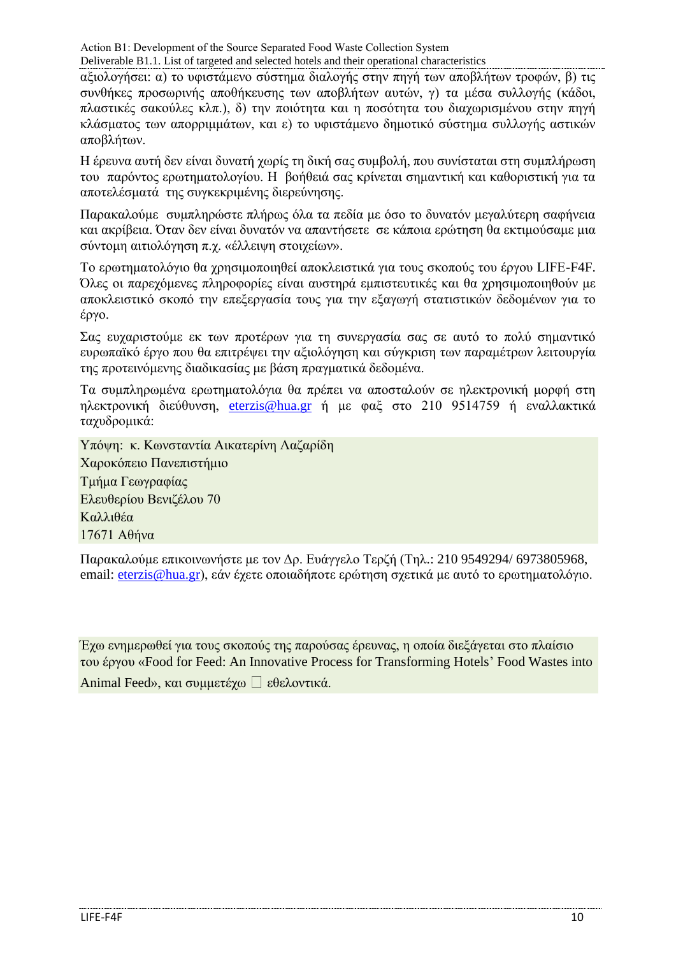Action Β1: Development of the Source Separated Food Waste Collection System

Deliverable B1.1. List of targeted and selected hotels and their operational characteristics

αξιολογήσει: α) το υφιστάμενο σύστημα διαλογής στην πηγή των αποβλήτων τροφών, β) τις συνθήκες προσωρινής αποθήκευσης των αποβλήτων αυτών, γ) τα μέσα συλλογής (κάδοι, πλαστικές σακούλες κλπ.), δ) την ποιότητα και η ποσότητα του διαχωρισμένου στην πηγή κλάσματος των απορριμμάτων, και ε) το υφιστάμενο δημοτικό σύστημα συλλογής αστικών αποβλήτων.

Η έρευνα αυτή δεν είναι δυνατή χωρίς τη δική σας συμβολή, που συνίσταται στη συμπλήρωση του παρόντος ερωτηματολογίου. Η βοήθειά σας κρίνεται σημαντική και καθοριστική για τα αποτελέσματά της συγκεκριμένης διερεύνησης.

Παρακαλούμε συμπληρώστε πλήρως όλα τα πεδία με όσο το δυνατόν μεγαλύτερη σαφήνεια και ακρίβεια. Όταν δεν είναι δυνατόν να απαντήσετε σε κάποια ερώτηση θα εκτιμούσαμε μια σύντομη αιτιολόγηση π.χ. «έλλειψη στοιχείων».

Το ερωτηματολόγιο θα χρησιμοποιηθεί αποκλειστικά για τους σκοπούς του έργου LIFE-F4F. Όλες οι παρεχόμενες πληροφορίες είναι αυστηρά εμπιστευτικές και θα χρησιμοποιηθούν με αποκλειστικό σκοπό την επεξεργασία τους για την εξαγωγή στατιστικών δεδομένων για το έργο.

Σας ευχαριστούμε εκ των προτέρων για τη συνεργασία σας σε αυτό το πολύ σημαντικό ευρωπαϊκό έργο που θα επιτρέψει την αξιολόγηση και σύγκριση των παραμέτρων λειτουργία της προτεινόμενης διαδικασίας με βάση πραγματικά δεδομένα.

Τα συμπληρωμένα ερωτηματολόγια θα πρέπει να αποσταλούν σε ηλεκτρονική μορφή στη ηλεκτρονική διεύθυνση, eterzis@hua.gr ή με φαξ στο 210 9514759 ή εναλλακτικά ταχυδρομικά:

Υπόψη: κ. Κωνσταντία Αικατερίνη Λαζαρίδη Χαροκόπειο Πανεπιστήμιο Τμήμα Γεωγραφίας Ελευθερίου Βενιζέλου 70 Καλλιθέα 17671 Αθήνα

Παρακαλούμε επικοινωνήστε με τον Δρ. Ευάγγελο Τερζή (Τηλ.: 210 9549294/ 6973805968, email: eterzis@hua.gr), εάν έχετε οποιαδήποτε ερώτηση σχετικά με αυτό το ερωτηματολόγιο.

Έχω ενημερωθεί για τους σκοπούς της παρούσας έρευνας, η οποία διεξάγεται στο πλαίσιο του έργου «Food for Feed: An Innovative Process for Transforming Hotels' Food Wastes into Animal Feed», και συμμετέχω  $\Box$  εθελοντικά.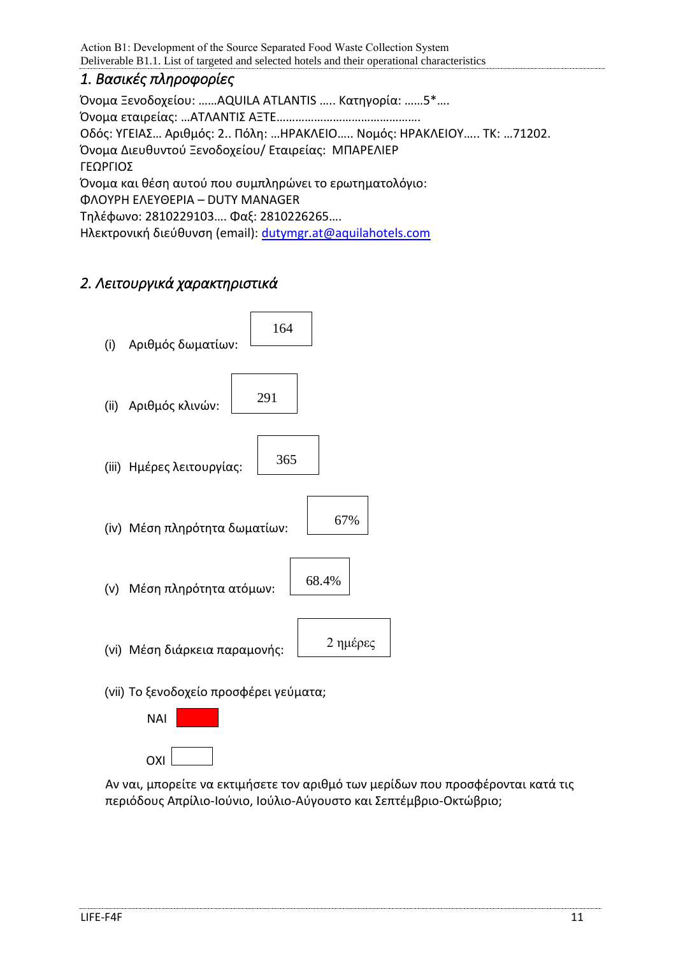### <span id="page-10-0"></span>*1. Βασικές πληροφορίες*

Όνομα Ξενοδοχείου: ……AQUILA ATLANTIS ….. Κατηγορία: ……5\*…. Όνομα εταιρείας: …ΑΤΛΑΝΤΙΣ ΑΞΤΕ………………………………………. Οδός: ΥΓΕΙΑΣ… Αριθμός: 2.. Πόλη: …ΗΡΑΚΛΕΙΟ….. Νομός: ΗΡΑΚΛΕΙΟΥ….. ΤΚ: …71202. Όνομα Διευθυντού Ξενοδοχείου/ Εταιρείας: ΜΠΑΡΕΛΙΕΡ ΓΕΩΡΓΙΟΣ Όνομα και θέση αυτού που συμπληρώνει το ερωτηματολόγιο: ΦΛΟΥΡΗ ΕΛΕΥΘΕΡΙΑ – DUTY MANAGER Τηλέφωνο: 2810229103…. Φαξ: 2810226265…. Ηλεκτρονική διεύθυνση (email): dutymgr.at@aquilahotels.com

### <span id="page-10-1"></span>*2. Λειτουργικά χαρακτηριστικά*

| (i) | 164<br>Αριθμός δωματίων:                  |
|-----|-------------------------------------------|
|     | 291<br>(ii) Αριθμός κλινών:               |
|     | 365<br>(iii) Ημέρες λειτουργίας:          |
|     | 67%<br>(iv) Μέση πληρότητα δωματίων:      |
| (v) | 68.4%<br>Μέση πληρότητα ατόμων:           |
|     | 2 ημέρες<br>(vi) Μέση διάρκεια παραμονής: |

(vii) Το ξενοδοχείο προσφέρει γεύματα;



Αν ναι, μπορείτε να εκτιμήσετε τον αριθμό των μερίδων που προσφέρονται κατά τις περιόδους Απρίλιο-Ιούνιο, Ιούλιο-Αύγουστο και Σεπτέμβριο-Οκτώβριο;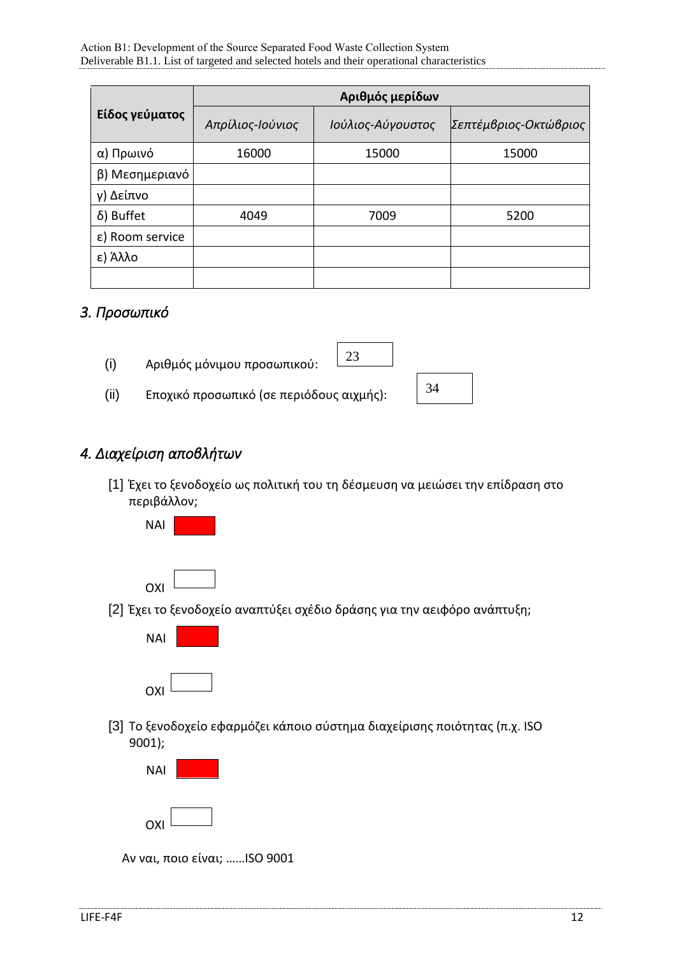Action Β1: Development of the Source Separated Food Waste Collection System Deliverable B1.1. List of targeted and selected hotels and their operational characteristics

|                   | Αριθμός μερίδων  |                   |                       |  |
|-------------------|------------------|-------------------|-----------------------|--|
| Είδος γεύματος    | Απρίλιος-Ιούνιος | Ιούλιος-Αύγουστος | Σεπτέμβριος-Οκτώβριος |  |
| α) Πρωινό         | 16000            | 15000             | 15000                 |  |
| β) Μεσημεριανό    |                  |                   |                       |  |
| γ) Δείπνο         |                  |                   |                       |  |
| $\delta$ ) Buffet | 4049             | 7009              | 5200                  |  |
| ε) Room service   |                  |                   |                       |  |
| ε) Άλλο           |                  |                   |                       |  |
|                   |                  |                   |                       |  |

#### <span id="page-11-0"></span>*3. Προσωπικό*

(i) Αριθμός μόνιμου προσωπικού:

34

(ii) Εποχικό προσωπικό (σε περιόδους αιχμής):

### <span id="page-11-1"></span>*4. Διαχείριση αποβλήτων*

- [1] Έχει το ξενοδοχείο ως πολιτική του τη δέσμευση να μειώσει την επίδραση στο περιβάλλον;
	- ΝΑΙ



[2] Έχει το ξενοδοχείο αναπτύξει σχέδιο δράσης για την αειφόρο ανάπτυξη;



ΟΧΙ

[3] Το ξενοδοχείο εφαρμόζει κάποιο σύστημα διαχείρισης ποιότητας (π.χ. ISO 9001);



Αν ναι, ποιο είναι; ……ISO 9001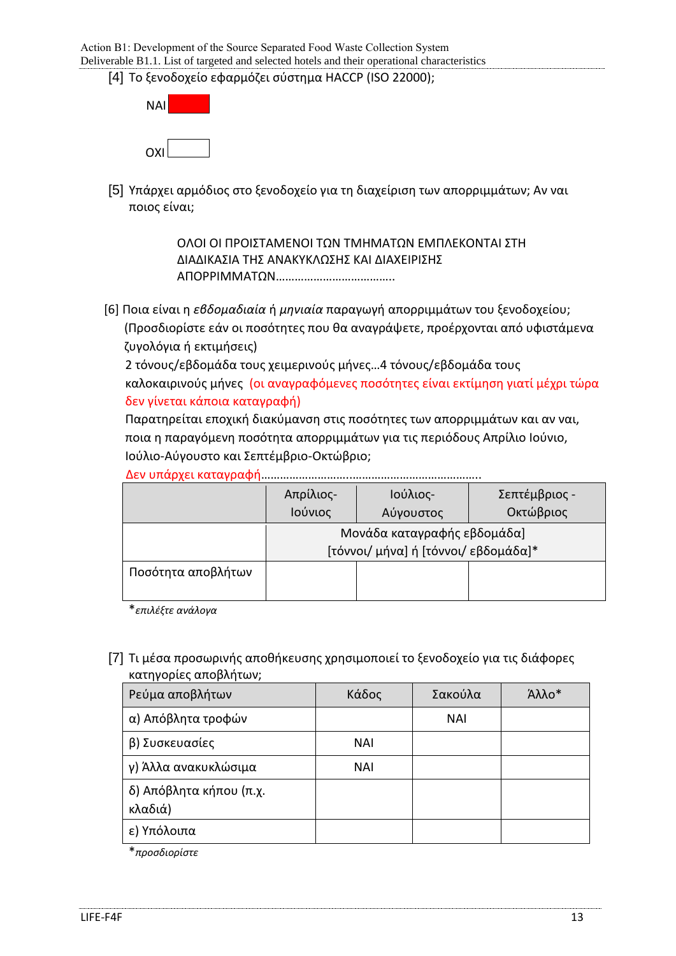| <b>NAI</b> |  |
|------------|--|
| oxi l      |  |

[5] Υπάρχει αρμόδιος στο ξενοδοχείο για τη διαχείριση των απορριμμάτων; Αν ναι ποιος είναι;

> ΟΛΟΙ ΟΙ ΠΡΟΙΣΤΑΜΕΝΟΙ ΤΩΝ ΤΜΗΜΑΤΩΝ ΕΜΠΛΕΚΟΝΤΑΙ ΣΤΗ ΔΙΑΔΙΚΑΣΙΑ ΤΗΣ ΑΝΑΚΥΚΛΩΣΗΣ ΚΑΙ ΔΙΑΧΕΙΡΙΣΗΣ ΑΠΟΡΡΙΜΜΑΤΩΝ………………………………..

[6] Ποια είναι η *εβδομαδιαία* ή *μηνιαία* παραγωγή απορριμμάτων του ξενοδοχείου; (Προσδιορίστε εάν οι ποσότητες που θα αναγράψετε, προέρχονται από υφιστάμενα ζυγολόγια ή εκτιμήσεις)

2 τόνους/εβδομάδα τους χειμερινούς μήνες…4 τόνους/εβδομάδα τους καλοκαιρινούς μήνες (οι αναγραφόμενες ποσότητες είναι εκτίμηση γιατί μέχρι τώρα δεν γίνεται κάποια καταγραφή)

Παρατηρείται εποχική διακύμανση στις ποσότητες των απορριμμάτων και αν ναι, ποια η παραγόμενη ποσότητα απορριμμάτων για τις περιόδους Απρίλιο Ιούνιο, Ιούλιο-Αύγουστο και Σεπτέμβριο-Οκτώβριο;

Δεν υπάρχει καταγραφή………………………..…………………………………..

|                    | Απρίλιος-<br>Ιούνιος                                                | Ιούλιος-<br>Αύγουστος | Σεπτέμβριος -<br>Οκτώβριος |
|--------------------|---------------------------------------------------------------------|-----------------------|----------------------------|
|                    | Μονάδα καταγραφής εβδομάδα]<br>[τόννοι/ μήνα] ή [τόννοι/ εβδομάδα]* |                       |                            |
| Ποσότητα αποβλήτων |                                                                     |                       |                            |

\**επιλέξτε ανάλογα* 

[7] Τι μέσα προσωρινής αποθήκευσης χρησιμοποιεί το ξενοδοχείο για τις διάφορες κατηγορίες αποβλήτων;

| Ρεύμα αποβλήτων                    | Κάδος      | Σακούλα    | Άλλο* |
|------------------------------------|------------|------------|-------|
| α) Απόβλητα τροφών                 |            | <b>NAI</b> |       |
| β) Συσκευασίες                     | NAI        |            |       |
| γ) Άλλα ανακυκλώσιμα               | <b>NAI</b> |            |       |
| δ) Απόβλητα κήπου (π.χ.<br>κλαδιά) |            |            |       |
| ε) Υπόλοιπα                        |            |            |       |
| $\star$<br>$\sim$ $\sim$ $\sim$    |            |            |       |

\**προσδιορίστε*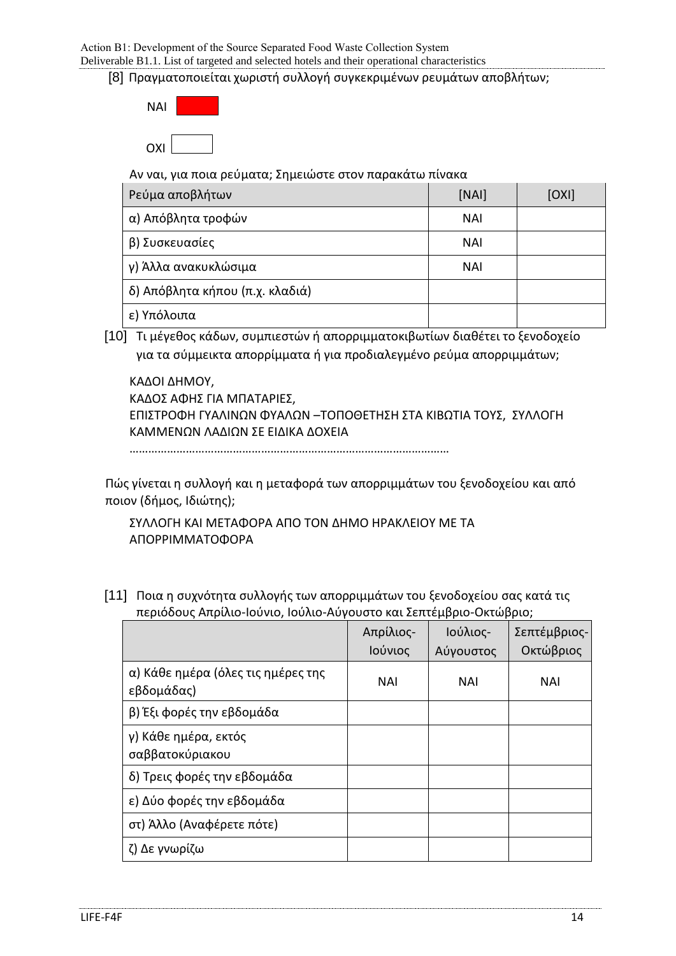[8] Πραγματοποιείται χωριστή συλλογή συγκεκριμένων ρευμάτων αποβλήτων;



ΟΧΙ

Αν ναι, για ποια ρεύματα; Σημειώστε στον παρακάτω πίνακα

| Ρεύμα αποβλήτων                 | [NA]       | [OX] |
|---------------------------------|------------|------|
| α) Απόβλητα τροφών              | NAI        |      |
| β) Συσκευασίες                  | <b>NAI</b> |      |
| γ) Άλλα ανακυκλώσιμα            | <b>NAI</b> |      |
| δ) Απόβλητα κήπου (π.χ. κλαδιά) |            |      |
| ε) Υπόλοιπα                     |            |      |

[10] Τι μέγεθος κάδων, συμπιεστών ή απορριμματοκιβωτίων διαθέτει το ξενοδοχείο για τα σύμμεικτα απορρίμματα ή για προδιαλεγμένο ρεύμα απορριμμάτων;

ΚΑΔΟΙ ΔΗΜΟΥ, ΚΑΔΟΣ ΑΦΗΣ ΓΙΑ ΜΠΑΤΑΡΙΕΣ, ΕΠΙΣΤΡΟΦΗ ΓΥΑΛΙΝΩΝ ΦΥΑΛΩΝ –ΤΟΠΟΘΕΤΗΣΗ ΣΤΑ ΚΙΒΩΤΙΑ ΤΟΥΣ, ΣΥΛΛΟΓΗ ΚΑΜΜΕΝΩΝ ΛΑΔΙΩΝ ΣΕ ΕΙΔΙΚΑ ΔΟΧΕΙΑ …………………………………………………………………………………………

Πώς γίνεται η συλλογή και η μεταφορά των απορριμμάτων του ξενοδοχείου και από ποιον (δήμος, Ιδιώτης);

ΣΥΛΛΟΓΗ ΚΑΙ ΜΕΤΑΦΟΡΑ ΑΠΟ ΤΟΝ ΔΗΜΟ ΗΡΑΚΛΕΙΟΥ ΜΕ ΤΑ ΑΠΟΡΡΙΜΜΑΤΟΦΟΡΑ

[11] Ποια η συχνότητα συλλογής των απορριμμάτων του ξενοδοχείου σας κατά τις περιόδους Απρίλιο-Ιούνιο, Ιούλιο-Αύγουστο και Σεπτέμβριο-Οκτώβριο;

|                                                  | Απρίλιος-<br>Ιούνιος | Ιούλιος-<br>Αύγουστος | Σεπτέμβριος-<br>Οκτώβριος |
|--------------------------------------------------|----------------------|-----------------------|---------------------------|
| α) Κάθε ημέρα (όλες τις ημέρες της<br>εβδομάδας) | NAI                  | <b>NAI</b>            | <b>NAI</b>                |
| β) Έξι φορές την εβδομάδα                        |                      |                       |                           |
| γ) Κάθε ημέρα, εκτός<br>σαββατοκύριακου          |                      |                       |                           |
| δ) Τρεις φορές την εβδομάδα                      |                      |                       |                           |
| ε) Δύο φορές την εβδομάδα                        |                      |                       |                           |
| στ) Άλλο (Αναφέρετε πότε)                        |                      |                       |                           |
| ζ) Δε γνωρίζω                                    |                      |                       |                           |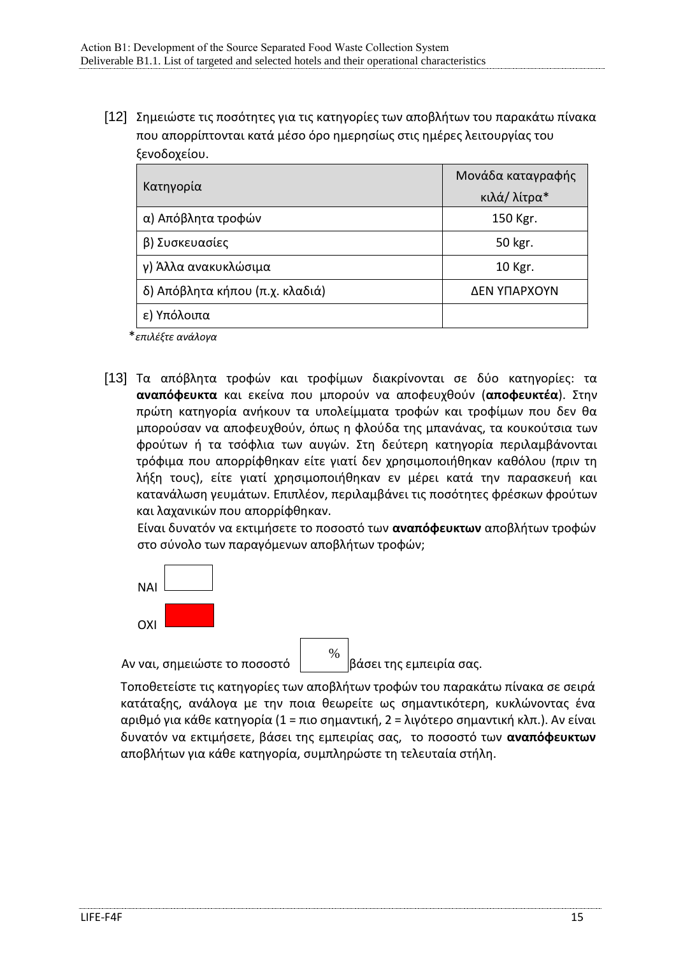[12] Σημειώστε τις ποσότητες για τις κατηγορίες των αποβλήτων του παρακάτω πίνακα που απορρίπτονται κατά μέσο όρο ημερησίως στις ημέρες λειτουργίας του ξενοδοχείου.

|                                 | Μονάδα καταγραφής |  |  |  |  |  |  |  |
|---------------------------------|-------------------|--|--|--|--|--|--|--|
| Κατηγορία                       | κιλά/ λίτρα*      |  |  |  |  |  |  |  |
| α) Απόβλητα τροφών              | 150 Kgr.          |  |  |  |  |  |  |  |
| β) Συσκευασίες                  | 50 kgr.           |  |  |  |  |  |  |  |
| γ) Άλλα ανακυκλώσιμα            | 10 Kgr.           |  |  |  |  |  |  |  |
| δ) Απόβλητα κήπου (π.χ. κλαδιά) | ΔΕΝ ΥΠΑΡΧΟΥΝ      |  |  |  |  |  |  |  |
| ε) Υπόλοιπα                     |                   |  |  |  |  |  |  |  |

\**επιλέξτε ανάλογα* 

[13] Τα απόβλητα τροφών και τροφίμων διακρίνονται σε δύο κατηγορίες: τα **αναπόφευκτα** και εκείνα που μπορούν να αποφευχθούν (**αποφευκτέα**). Στην πρώτη κατηγορία ανήκουν τα υπολείμματα τροφών και τροφίμων που δεν θα μπορούσαν να αποφευχθούν, όπως η φλούδα της μπανάνας, τα κουκούτσια των φρούτων ή τα τσόφλια των αυγών. Στη δεύτερη κατηγορία περιλαμβάνονται τρόφιμα που απορρίφθηκαν είτε γιατί δεν χρησιμοποιήθηκαν καθόλου (πριν τη λήξη τους), είτε γιατί χρησιμοποιήθηκαν εν μέρει κατά την παρασκευή και κατανάλωση γευμάτων. Επιπλέον, περιλαμβάνει τις ποσότητες φρέσκων φρούτων και λαχανικών που απορρίφθηκαν.

Είναι δυνατόν να εκτιμήσετε το ποσοστό των **αναπόφευκτων** αποβλήτων τροφών στο σύνολο των παραγόμενων αποβλήτων τροφών;



Τοποθετείστε τις κατηγορίες των αποβλήτων τροφών του παρακάτω πίνακα σε σειρά κατάταξης, ανάλογα με την ποια θεωρείτε ως σημαντικότερη, κυκλώνοντας ένα αριθμό για κάθε κατηγορία (1 = πιο σημαντική, 2 = λιγότερο σημαντική κλπ.). Αν είναι δυνατόν να εκτιμήσετε, βάσει της εμπειρίας σας, το ποσοστό των **αναπόφευκτων** αποβλήτων για κάθε κατηγορία, συμπληρώστε τη τελευταία στήλη.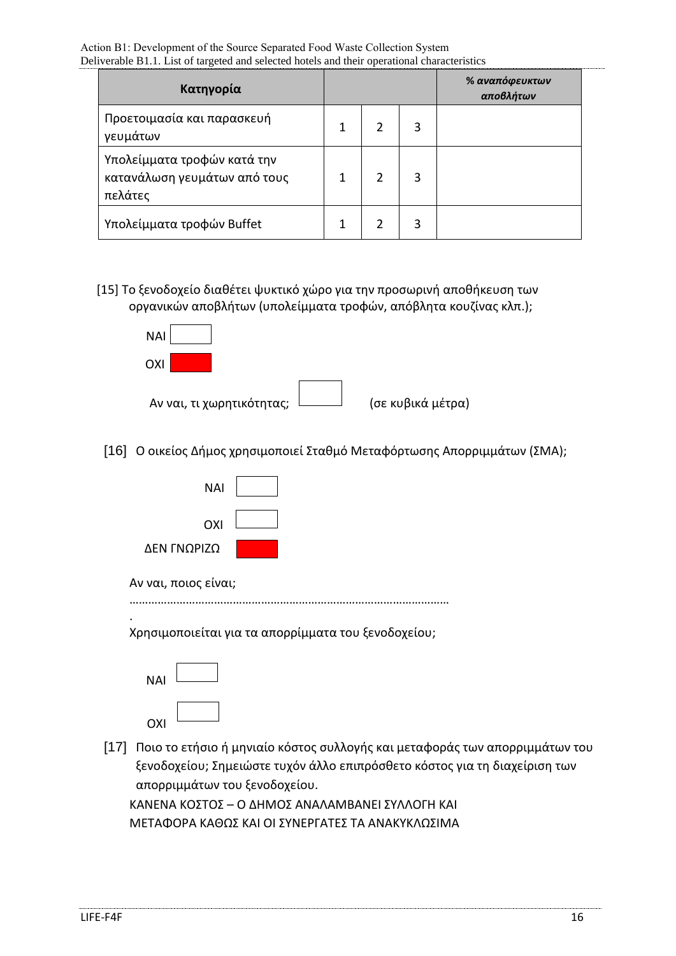Action Β1: Development of the Source Separated Food Waste Collection System Deliverable B1.1. List of targeted and selected hotels and their operational characteristics

| Κατηγορία                                                              |  |   | % αναπόφευκτων<br>αποβλήτων |
|------------------------------------------------------------------------|--|---|-----------------------------|
| Προετοιμασία και παρασκευή<br>γευμάτων                                 |  | 3 |                             |
| Υπολείμματα τροφών κατά την<br>κατανάλωση γευμάτων από τους<br>πελάτες |  | 3 |                             |
| Υπολείμματα τροφών Buffet                                              |  | 3 |                             |

[15] Το ξενοδοχείο διαθέτει ψυκτικό χώρο για την προσωρινή αποθήκευση των οργανικών αποβλήτων (υπολείμματα τροφών, απόβλητα κουζίνας κλπ.);



[16] Ο οικείος Δήμος χρησιμοποιεί Σταθμό Μεταφόρτωσης Απορριμμάτων (ΣΜΑ);

| NAI         |  |
|-------------|--|
| OXI         |  |
| ΔΕΝ ΓΝΩΡΙΖΩ |  |

Αν ναι, ποιος είναι;

.

Χρησιμοποιείται για τα απορρίμματα του ξενοδοχείου;

| NAI |  |
|-----|--|
| OXI |  |

[17] Ποιο το ετήσιο ή μηνιαίο κόστος συλλογής και μεταφοράς των απορριμμάτων του ξενοδοχείου; Σημειώστε τυχόν άλλο επιπρόσθετο κόστος για τη διαχείριση των απορριμμάτων του ξενοδοχείου.

ΚΑΝΕΝΑ ΚΟΣΤΟΣ – Ο ΔΗΜΟΣ ΑΝΑΛΑΜΒΑΝΕΙ ΣΥΛΛΟΓΗ ΚΑΙ ΜΕΤΑΦΟΡΑ ΚΑΘΩΣ ΚΑΙ ΟΙ ΣΥΝΕΡΓΑΤΕΣ ΤΑ ΑΝΑΚΥΚΛΩΣΙΜΑ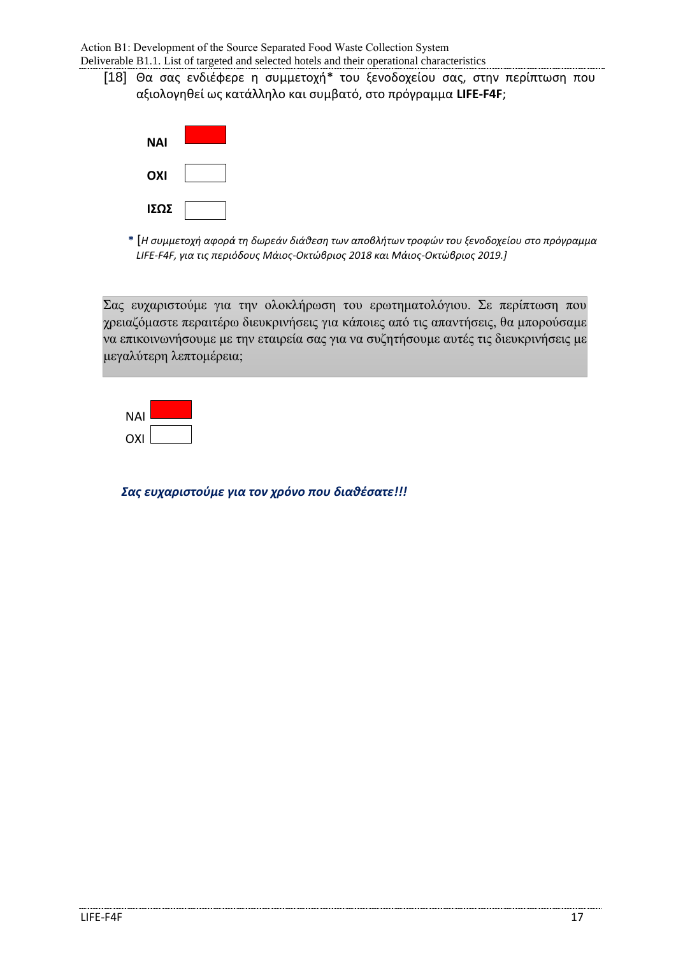[18] Θα σας ενδιέφερε η συμμετοχή\* του ξενοδοχείου σας, στην περίπτωση που αξιολογηθεί ως κατάλληλο και συμβατό, στο πρόγραμμα **LIFE-F4F**;



**\*** [*Η συμμετοχή αφορά τη δωρεάν διάθεση των αποβλήτων τροφών του ξενοδοχείου στο πρόγραμμα LIFE-F4F, για τις περιόδους Μάιος-Οκτώβριος 2018 και Μάιος-Οκτώβριος 2019.]* 

Σας ευχαριστούμε για την ολοκλήρωση του ερωτηματολόγιου. Σε περίπτωση που χρειαζόμαστε περαιτέρω διευκρινήσεις για κάποιες από τις απαντήσεις, θα μπορούσαμε να επικοινωνήσουμε με την εταιρεία σας για να συζητήσουμε αυτές τις διευκρινήσεις με μεγαλύτερη λεπτομέρεια;



*Σας ευχαριστούμε για τον χρόνο που διαθέσατε!!!*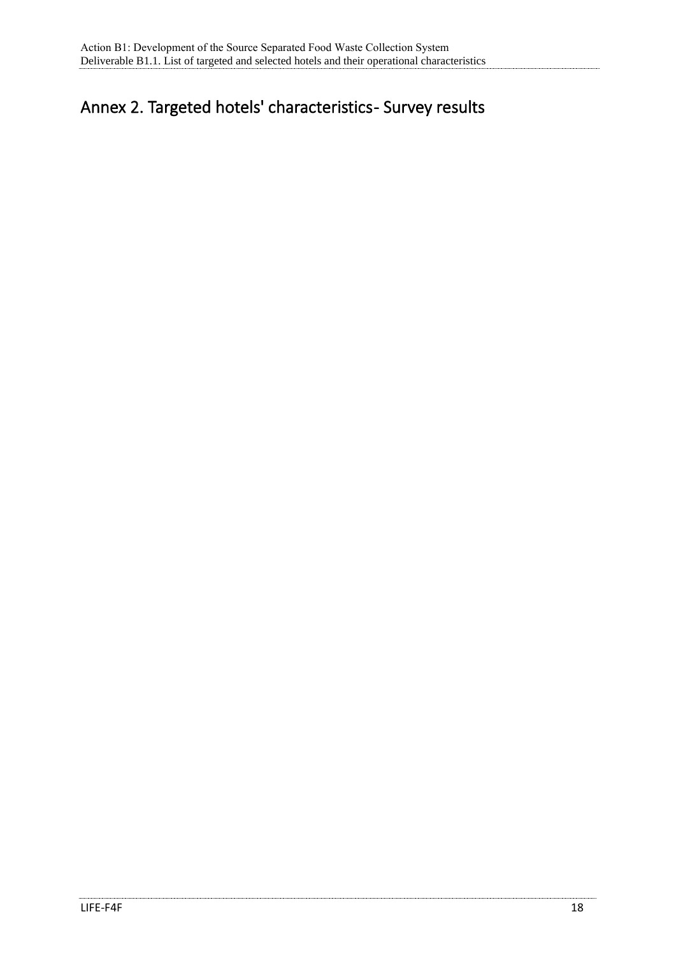# <span id="page-17-0"></span>Annex 2. Targeted hotels' characteristics- Survey results